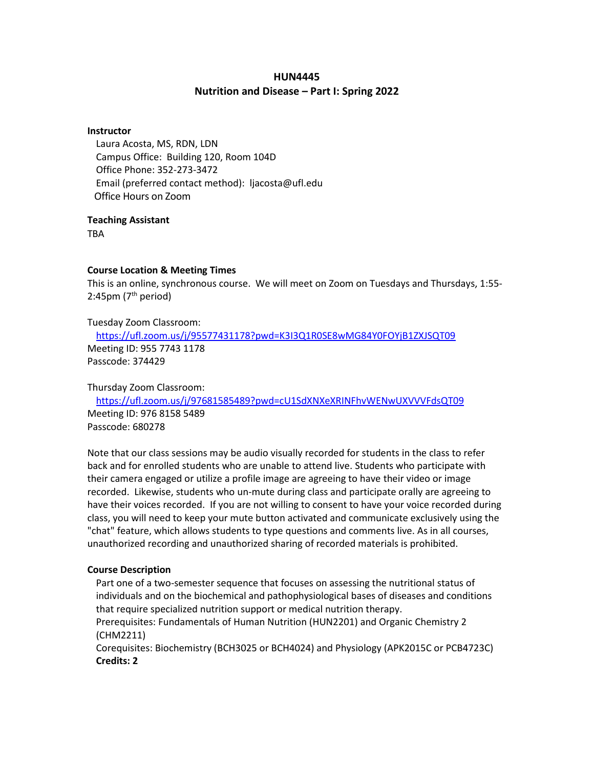#### **HUN4445**

#### **Nutrition and Disease – Part I: Spring 2022**

#### **Instructor**

Laura Acosta, MS, RDN, LDN Campus Office: Building 120, Room 104D Office Phone: 352-273-3472 Email (preferred contact method): ljacosta@ufl.edu Office Hours on Zoom

#### **Teaching Assistant**

**TRA** 

#### **Course Location & Meeting Times**

This is an online, synchronous course. We will meet on Zoom on Tuesdays and Thursdays, 1:55- 2:45pm  $(7<sup>th</sup>$  period)

Tuesday Zoom Classroom:

<https://ufl.zoom.us/j/95577431178?pwd=K3I3Q1R0SE8wMG84Y0FOYjB1ZXJSQT09> Meeting ID: 955 7743 1178 Passcode: 374429

Thursday Zoom Classroom:

<https://ufl.zoom.us/j/97681585489?pwd=cU1SdXNXeXRINFhvWENwUXVVVFdsQT09> Meeting ID: 976 8158 5489 Passcode: 680278

Note that our class sessions may be audio visually recorded for students in the class to refer back and for enrolled students who are unable to attend live. Students who participate with their camera engaged or utilize a profile image are agreeing to have their video or image recorded. Likewise, students who un-mute during class and participate orally are agreeing to have their voices recorded. If you are not willing to consent to have your voice recorded during class, you will need to keep your mute button activated and communicate exclusively using the "chat" feature, which allows students to type questions and comments live. As in all courses, unauthorized recording and unauthorized sharing of recorded materials is prohibited.

#### **Course Description**

Part one of a two-semester sequence that focuses on assessing the nutritional status of individuals and on the biochemical and pathophysiological bases of diseases and conditions that require specialized nutrition support or medical nutrition therapy.

Prerequisites: Fundamentals of Human Nutrition (HUN2201) and Organic Chemistry 2 (CHM2211)

Corequisites: Biochemistry (BCH3025 or BCH4024) and Physiology (APK2015C or PCB4723C) **Credits: 2**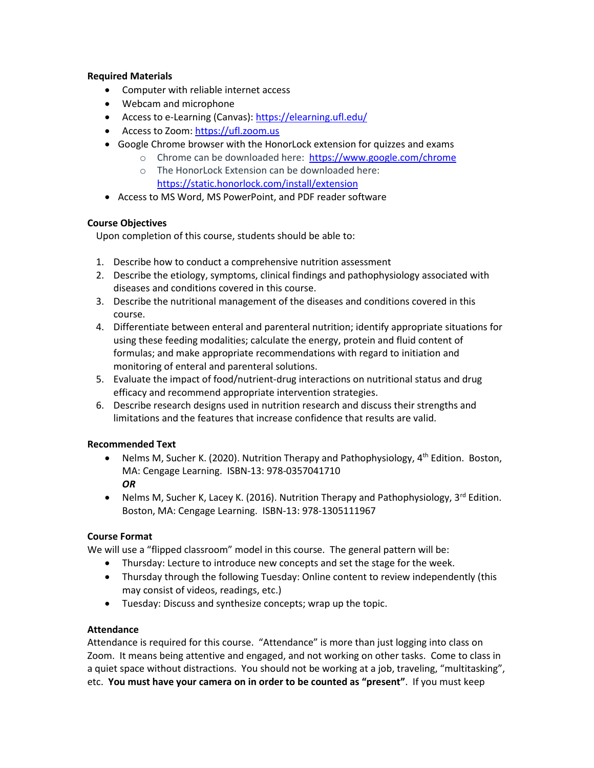# **Required Materials**

- Computer with reliable internet access
- Webcam and microphone
- Access to e-Learning (Canvas)[: https://elearning.ufl.edu/](https://elearning.ufl.edu/)
- Access to Zoom: https://ufl.zoom.us
- Google Chrome browser with the HonorLock extension for quizzes and exams
	- o Chrome can be downloaded here: <https://www.google.com/chrome>
		- o The HonorLock Extension can be downloaded here: <https://static.honorlock.com/install/extension>
- Access to MS Word, MS PowerPoint, and PDF reader software

# **Course Objectives**

Upon completion of this course, students should be able to:

- 1. Describe how to conduct a comprehensive nutrition assessment
- 2. Describe the etiology, symptoms, clinical findings and pathophysiology associated with diseases and conditions covered in this course.
- 3. Describe the nutritional management of the diseases and conditions covered in this course.
- 4. Differentiate between enteral and parenteral nutrition; identify appropriate situations for using these feeding modalities; calculate the energy, protein and fluid content of formulas; and make appropriate recommendations with regard to initiation and monitoring of enteral and parenteral solutions.
- 5. Evaluate the impact of food/nutrient-drug interactions on nutritional status and drug efficacy and recommend appropriate intervention strategies.
- 6. Describe research designs used in nutrition research and discuss their strengths and limitations and the features that increase confidence that results are valid.

# **Recommended Text**

- Nelms M, Sucher K. (2020). Nutrition Therapy and Pathophysiology, 4<sup>th</sup> Edition. Boston, MA: Cengage Learning. ISBN-13: 978-0357041710 *OR*
- Nelms M, Sucher K, Lacey K. (2016). Nutrition Therapy and Pathophysiology,  $3^{rd}$  Edition. Boston, MA: Cengage Learning. ISBN-13: 978-1305111967

# **Course Format**

We will use a "flipped classroom" model in this course. The general pattern will be:

- Thursday: Lecture to introduce new concepts and set the stage for the week.
- Thursday through the following Tuesday: Online content to review independently (this may consist of videos, readings, etc.)
- Tuesday: Discuss and synthesize concepts; wrap up the topic.

# **Attendance**

Attendance is required for this course. "Attendance" is more than just logging into class on Zoom. It means being attentive and engaged, and not working on other tasks. Come to class in a quiet space without distractions. You should not be working at a job, traveling, "multitasking", etc. **You must have your camera on in order to be counted as "present"**. If you must keep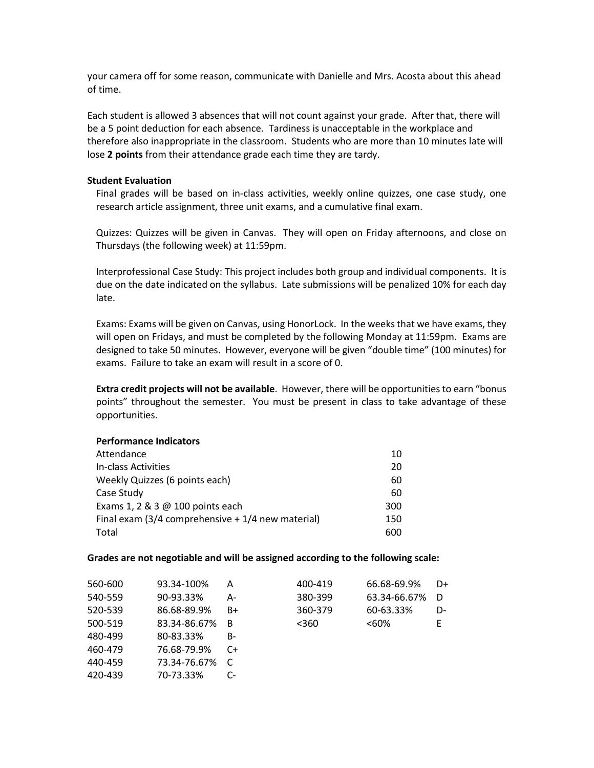your camera off for some reason, communicate with Danielle and Mrs. Acosta about this ahead of time.

Each student is allowed 3 absences that will not count against your grade. After that, there will be a 5 point deduction for each absence. Tardiness is unacceptable in the workplace and therefore also inappropriate in the classroom. Students who are more than 10 minutes late will lose **2 points** from their attendance grade each time they are tardy.

#### **Student Evaluation**

Final grades will be based on in-class activities, weekly online quizzes, one case study, one research article assignment, three unit exams, and a cumulative final exam.

Quizzes: Quizzes will be given in Canvas. They will open on Friday afternoons, and close on Thursdays (the following week) at 11:59pm.

Interprofessional Case Study: This project includes both group and individual components. It is due on the date indicated on the syllabus. Late submissions will be penalized 10% for each day late.

Exams: Exams will be given on Canvas, using HonorLock. In the weeks that we have exams, they will open on Fridays, and must be completed by the following Monday at 11:59pm. Exams are designed to take 50 minutes. However, everyone will be given "double time" (100 minutes) for exams. Failure to take an exam will result in a score of 0.

**Extra credit projects will not be available**. However, there will be opportunities to earn "bonus points" throughout the semester. You must be present in class to take advantage of these opportunities.

#### **Performance Indicators**

| Attendance                                         | 10  |
|----------------------------------------------------|-----|
| In-class Activities                                | 20  |
| Weekly Quizzes (6 points each)                     | 60  |
| Case Study                                         | 60  |
| Exams 1, 2 & 3 @ 100 points each                   | 300 |
| Final exam (3/4 comprehensive $+1/4$ new material) | 150 |
| Total                                              | 600 |

#### **Grades are not negotiable and will be assigned according to the following scale:**

| 560-600 | 93.34-100%   | Α  | 400-419 | 66.68-69.9%  | D+ |
|---------|--------------|----|---------|--------------|----|
| 540-559 | 90-93.33%    | А- | 380-399 | 63.34-66.67% | D  |
| 520-539 | 86.68-89.9%  | B+ | 360-379 | 60-63.33%    | D- |
| 500-519 | 83.34-86.67% | B  | $360$   | $<60\%$      | E  |
| 480-499 | 80-83.33%    | B- |         |              |    |
| 460-479 | 76.68-79.9%  | C+ |         |              |    |
| 440-459 | 73.34-76.67% | C  |         |              |    |
| 420-439 | 70-73.33%    | C- |         |              |    |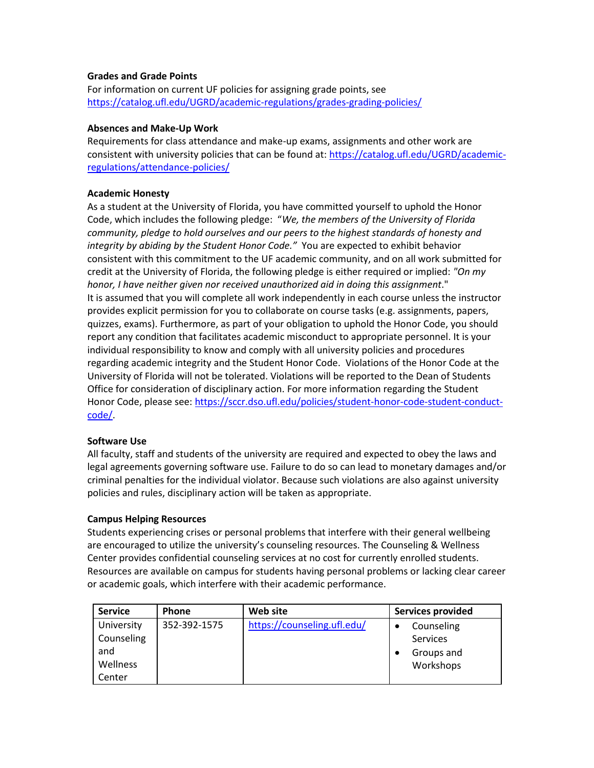#### **Grades and Grade Points**

For information on current UF policies for assigning grade points, see <https://catalog.ufl.edu/UGRD/academic-regulations/grades-grading-policies/>

#### **Absences and Make-Up Work**

Requirements for class attendance and make-up exams, assignments and other work are consistent with university policies that can be found at: [https://catalog.ufl.edu/UGRD/academic](https://catalog.ufl.edu/UGRD/academic-regulations/attendance-policies/)[regulations/attendance-policies/](https://catalog.ufl.edu/UGRD/academic-regulations/attendance-policies/)

#### **Academic Honesty**

As a student at the University of Florida, you have committed yourself to uphold the Honor Code, which includes the following pledge: "*We, the members of the University of Florida community, pledge to hold ourselves and our peers to the highest standards of honesty and integrity by abiding by the Student Honor Code."* You are expected to exhibit behavior consistent with this commitment to the UF academic community, and on all work submitted for credit at the University of Florida, the following pledge is either required or implied: *"On my honor, I have neither given nor received unauthorized aid in doing this assignment*." It is assumed that you will complete all work independently in each course unless the instructor provides explicit permission for you to collaborate on course tasks (e.g. assignments, papers, quizzes, exams). Furthermore, as part of your obligation to uphold the Honor Code, you should report any condition that facilitates academic misconduct to appropriate personnel. It is your individual responsibility to know and comply with all university policies and procedures regarding academic integrity and the Student Honor Code. Violations of the Honor Code at the University of Florida will not be tolerated. Violations will be reported to the Dean of Students Office for consideration of disciplinary action. For more information regarding the Student Honor Code, please see[: https://sccr.dso.ufl.edu/policies/student-honor-code-student-conduct](https://sccr.dso.ufl.edu/policies/student-honor-code-student-conduct-code/)[code/.](https://sccr.dso.ufl.edu/policies/student-honor-code-student-conduct-code/)

# **Software Use**

All faculty, staff and students of the university are required and expected to obey the laws and legal agreements governing software use. Failure to do so can lead to monetary damages and/or criminal penalties for the individual violator. Because such violations are also against university policies and rules, disciplinary action will be taken as appropriate.

#### **Campus Helping Resources**

Students experiencing crises or personal problems that interfere with their general wellbeing are encouraged to utilize the university's counseling resources. The Counseling & Wellness Center provides confidential counseling services at no cost for currently enrolled students. Resources are available on campus for students having personal problems or lacking clear career or academic goals, which interfere with their academic performance.

| <b>Service</b> | <b>Phone</b> | Web site                    | <b>Services provided</b> |
|----------------|--------------|-----------------------------|--------------------------|
| University     | 352-392-1575 | https://counseling.ufl.edu/ | Counseling               |
| Counseling     |              |                             | Services                 |
| and            |              |                             | Groups and               |
| Wellness       |              |                             | Workshops                |
| Center         |              |                             |                          |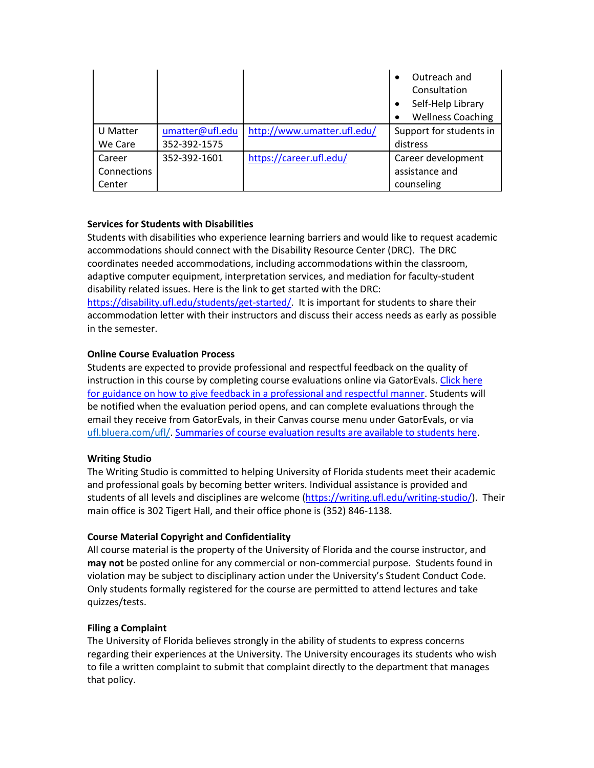|             |                 |                             | Outreach and<br>$\bullet$<br>Consultation<br>Self-Help Library<br>٠ |
|-------------|-----------------|-----------------------------|---------------------------------------------------------------------|
|             |                 |                             | <b>Wellness Coaching</b><br>$\bullet$                               |
| U Matter    | umatter@ufl.edu | http://www.umatter.ufl.edu/ | Support for students in                                             |
| We Care     | 352-392-1575    |                             | distress                                                            |
| Career      | 352-392-1601    | https://career.ufl.edu/     | Career development                                                  |
| Connections |                 |                             | assistance and                                                      |
| Center      |                 |                             | counseling                                                          |

# **Services for Students with Disabilities**

Students with disabilities who experience learning barriers and would like to request academic accommodations should connect with the Disability Resource Center (DRC). The DRC coordinates needed accommodations, including accommodations within the classroom, adaptive computer equipment, interpretation services, and mediation for faculty-student disability related issues. Here is the link to get started with the DRC: [https://disability.ufl.edu/students/get-started/.](https://disability.ufl.edu/students/get-started/) It is important for students to share their accommodation letter with their instructors and discuss their access needs as early as possible in the semester.

# **Online Course Evaluation Process**

Students are expected to provide professional and respectful feedback on the quality of instruction in this course by completing course evaluations online via GatorEvals[. Click here](file:///C:/Users/lilyrlewis/AppData/Local/Microsoft/Windows/INetCache/Content.Outlook/LU96BFUU/gatorevals.aa.ufl.edu/students/)  [for guidance on how to give feedback in a professional and respectful manner.](file:///C:/Users/lilyrlewis/AppData/Local/Microsoft/Windows/INetCache/Content.Outlook/LU96BFUU/gatorevals.aa.ufl.edu/students/) Students will be notified when the evaluation period opens, and can complete evaluations through the email they receive from GatorEvals, in their Canvas course menu under GatorEvals, or via [ufl.bluera.com/ufl/.](https://ufl.bluera.com/ufl/) [Summaries of course evaluation results are available to students here.](https://gatorevals.aa.ufl.edu/public-results/)

# **Writing Studio**

The Writing Studio is committed to helping University of Florida students meet their academic and professional goals by becoming better writers. Individual assistance is provided and students of all levels and disciplines are welcome [\(https://writing.ufl.edu/writing-studio/\)](https://writing.ufl.edu/writing-studio/). Their main office is 302 Tigert Hall, and their office phone is (352) 846-1138.

# **Course Material Copyright and Confidentiality**

All course material is the property of the University of Florida and the course instructor, and **may not** be posted online for any commercial or non-commercial purpose. Students found in violation may be subject to disciplinary action under the University's Student Conduct Code. Only students formally registered for the course are permitted to attend lectures and take quizzes/tests.

#### **Filing a Complaint**

The University of Florida believes strongly in the ability of students to express concerns regarding their experiences at the University. The University encourages its students who wish to file a written complaint to submit that complaint directly to the department that manages that policy.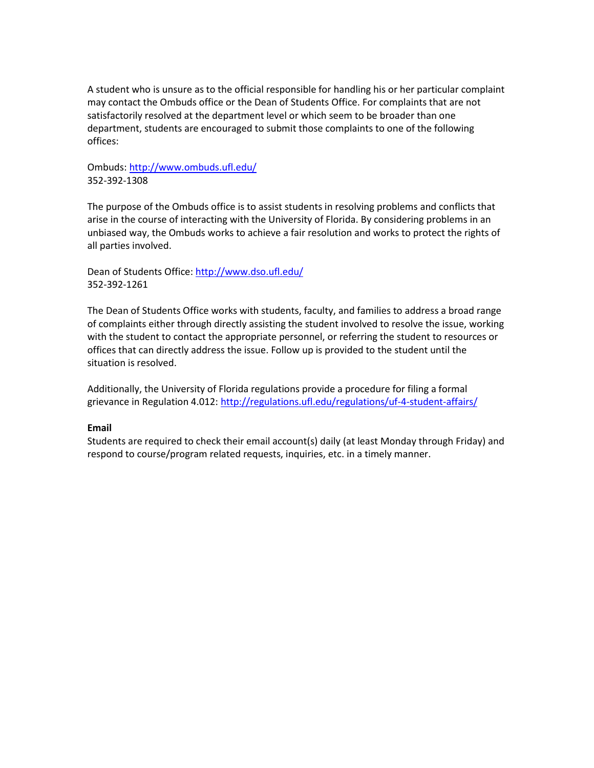A student who is unsure as to the official responsible for handling his or her particular complaint may contact the Ombuds office or the Dean of Students Office. For complaints that are not satisfactorily resolved at the department level or which seem to be broader than one department, students are encouraged to submit those complaints to one of the following offices:

# Ombuds:<http://www.ombuds.ufl.edu/> 352-392-1308

The purpose of the Ombuds office is to assist students in resolving problems and conflicts that arise in the course of interacting with the University of Florida. By considering problems in an unbiased way, the Ombuds works to achieve a fair resolution and works to protect the rights of all parties involved.

Dean of Students Office[: http://www.dso.ufl.edu/](http://www.dso.ufl.edu/) 352-392-1261

The Dean of Students Office works with students, faculty, and families to address a broad range of complaints either through directly assisting the student involved to resolve the issue, working with the student to contact the appropriate personnel, or referring the student to resources or offices that can directly address the issue. Follow up is provided to the student until the situation is resolved.

Additionally, the University of Florida regulations provide a procedure for filing a formal grievance in Regulation 4.012:<http://regulations.ufl.edu/regulations/uf-4-student-affairs/>

# **Email**

Students are required to check their email account(s) daily (at least Monday through Friday) and respond to course/program related requests, inquiries, etc. in a timely manner.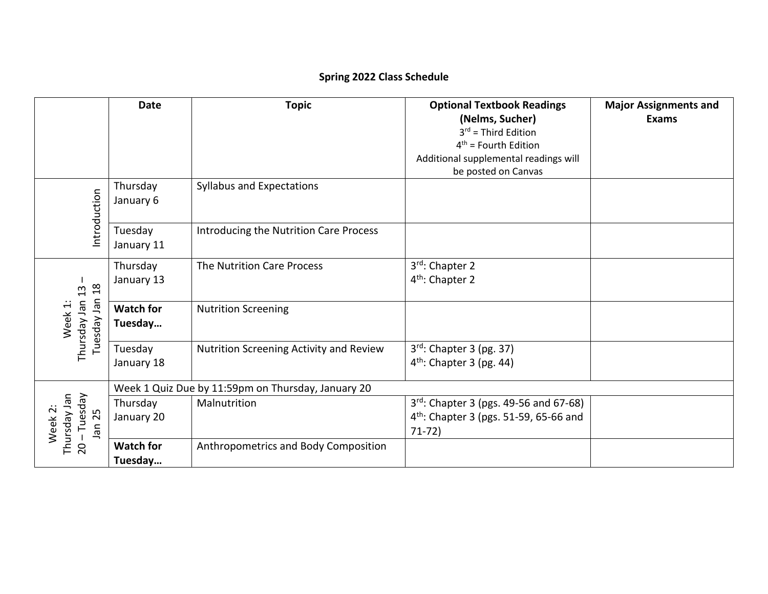# **Spring 2022 Class Schedule**

|                                                                | <b>Date</b>                 | <b>Topic</b>                                       | <b>Optional Textbook Readings</b><br>(Nelms, Sucher)<br>$3^{rd}$ = Third Edition<br>$4th$ = Fourth Edition | <b>Major Assignments and</b><br><b>Exams</b> |
|----------------------------------------------------------------|-----------------------------|----------------------------------------------------|------------------------------------------------------------------------------------------------------------|----------------------------------------------|
|                                                                |                             |                                                    | Additional supplemental readings will<br>be posted on Canvas                                               |                                              |
| Introduction                                                   | Thursday<br>January 6       | Syllabus and Expectations                          |                                                                                                            |                                              |
|                                                                | Tuesday<br>January 11       | Introducing the Nutrition Care Process             |                                                                                                            |                                              |
| $\frac{8}{18}$<br>13<br>Tuesday Jan<br>Thursday Jan<br>Week 1: | Thursday<br>January 13      | The Nutrition Care Process                         | 3rd: Chapter 2<br>4 <sup>th</sup> : Chapter 2                                                              |                                              |
|                                                                | <b>Watch for</b><br>Tuesday | <b>Nutrition Screening</b>                         |                                                                                                            |                                              |
|                                                                | Tuesday<br>January 18       | Nutrition Screening Activity and Review            | $3rd$ : Chapter 3 (pg. 37)<br>$4th$ : Chapter 3 (pg. 44)                                                   |                                              |
|                                                                |                             | Week 1 Quiz Due by 11:59pm on Thursday, January 20 |                                                                                                            |                                              |
| - Tuesday<br>Thursday Jan<br>Week 2:<br>Jan 25                 | Thursday<br>January 20      | Malnutrition                                       | 3rd: Chapter 3 (pgs. 49-56 and 67-68)<br>4 <sup>th</sup> : Chapter 3 (pgs. 51-59, 65-66 and<br>$71-72)$    |                                              |
| $\overline{c}$                                                 | <b>Watch for</b><br>Tuesday | Anthropometrics and Body Composition               |                                                                                                            |                                              |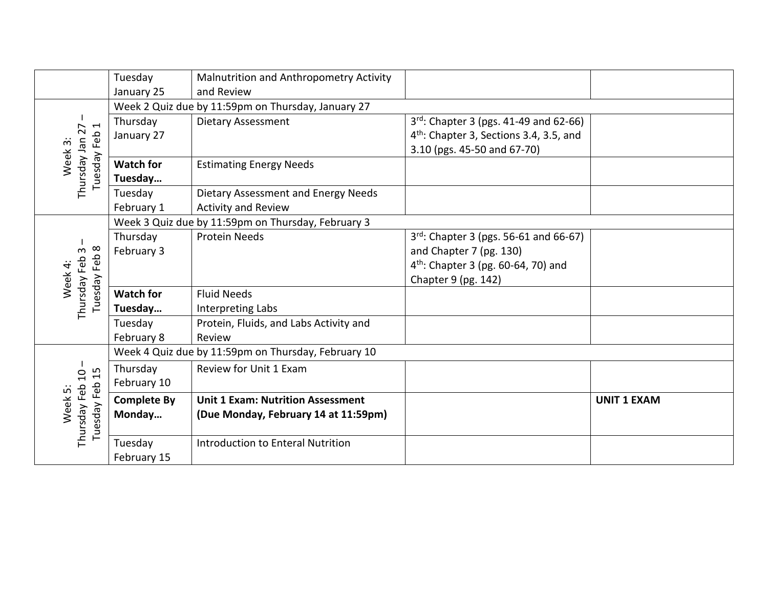|                                                                   | Tuesday<br>January 25  | Malnutrition and Anthropometry Activity<br>and Review |                                                                                                                                   |                    |  |  |
|-------------------------------------------------------------------|------------------------|-------------------------------------------------------|-----------------------------------------------------------------------------------------------------------------------------------|--------------------|--|--|
|                                                                   |                        | Week 2 Quiz due by 11:59pm on Thursday, January 27    |                                                                                                                                   |                    |  |  |
| $\overline{\phantom{0}}$<br>∼<br>Thursday Jan 2<br>Feb<br>Week 3: | Thursday<br>January 27 | <b>Dietary Assessment</b>                             | $3^{rd}$ : Chapter 3 (pgs. 41-49 and 62-66)<br>4 <sup>th</sup> : Chapter 3, Sections 3.4, 3.5, and<br>3.10 (pgs. 45-50 and 67-70) |                    |  |  |
| Tuesday                                                           | <b>Watch for</b>       | <b>Estimating Energy Needs</b>                        |                                                                                                                                   |                    |  |  |
|                                                                   | Tuesday                |                                                       |                                                                                                                                   |                    |  |  |
|                                                                   | Tuesday                | Dietary Assessment and Energy Needs                   |                                                                                                                                   |                    |  |  |
|                                                                   | February 1             | <b>Activity and Review</b>                            |                                                                                                                                   |                    |  |  |
|                                                                   |                        | Week 3 Quiz due by 11:59pm on Thursday, February 3    |                                                                                                                                   |                    |  |  |
|                                                                   | Thursday               | <b>Protein Needs</b>                                  | 3rd: Chapter 3 (pgs. 56-61 and 66-67)                                                                                             |                    |  |  |
| $\infty$<br>$\omega$                                              | February 3             |                                                       | and Chapter 7 (pg. 130)                                                                                                           |                    |  |  |
| Feb                                                               |                        |                                                       | $4^{th}$ : Chapter 3 (pg. 60-64, 70) and                                                                                          |                    |  |  |
| Week 4:                                                           |                        |                                                       | Chapter 9 (pg. 142)                                                                                                               |                    |  |  |
| Thursday Feb<br>Tuesday                                           | <b>Watch for</b>       | <b>Fluid Needs</b>                                    |                                                                                                                                   |                    |  |  |
|                                                                   | Tuesday                | Interpreting Labs                                     |                                                                                                                                   |                    |  |  |
|                                                                   | Tuesday                | Protein, Fluids, and Labs Activity and                |                                                                                                                                   |                    |  |  |
|                                                                   | February 8             | Review                                                |                                                                                                                                   |                    |  |  |
|                                                                   |                        | Week 4 Quiz due by 11:59pm on Thursday, February 10   |                                                                                                                                   |                    |  |  |
| 15                                                                | Thursday               | Review for Unit 1 Exam                                |                                                                                                                                   |                    |  |  |
| Thursday Feb 10<br>Feb<br>Week 5:<br>Tuesday I                    | February 10            |                                                       |                                                                                                                                   |                    |  |  |
|                                                                   | <b>Complete By</b>     | <b>Unit 1 Exam: Nutrition Assessment</b>              |                                                                                                                                   | <b>UNIT 1 EXAM</b> |  |  |
|                                                                   | Monday                 | (Due Monday, February 14 at 11:59pm)                  |                                                                                                                                   |                    |  |  |
|                                                                   | Tuesday                | Introduction to Enteral Nutrition                     |                                                                                                                                   |                    |  |  |
|                                                                   | February 15            |                                                       |                                                                                                                                   |                    |  |  |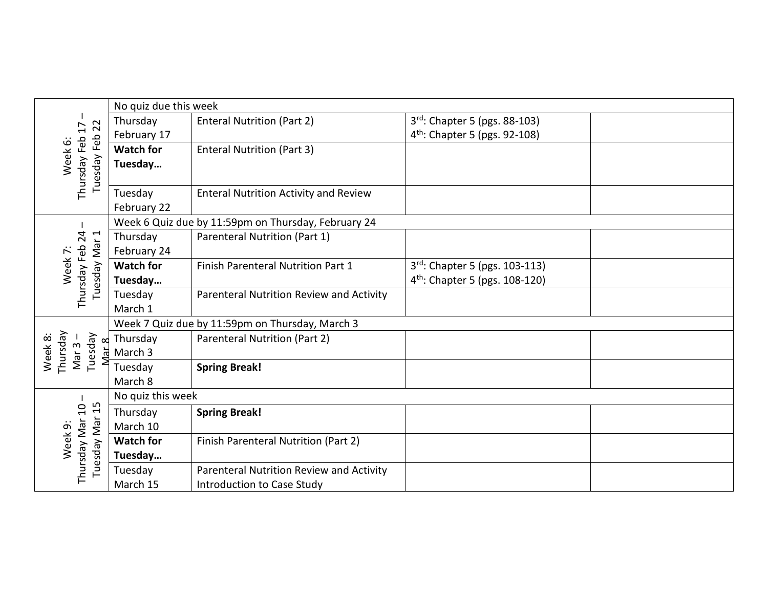| 22<br>17                                          | No quiz due this week                           |                                                     |                                            |  |
|---------------------------------------------------|-------------------------------------------------|-----------------------------------------------------|--------------------------------------------|--|
|                                                   | Thursday                                        | <b>Enteral Nutrition (Part 2)</b>                   | 3rd: Chapter 5 (pgs. 88-103)               |  |
|                                                   | February 17                                     |                                                     | 4 <sup>th</sup> : Chapter 5 (pgs. 92-108)  |  |
|                                                   | <b>Watch for</b>                                | <b>Enteral Nutrition (Part 3)</b>                   |                                            |  |
| Tuesday Feb<br>Thursday Feb<br>Week <sub>6:</sub> | Tuesday                                         |                                                     |                                            |  |
|                                                   |                                                 |                                                     |                                            |  |
|                                                   | Tuesday                                         | <b>Enteral Nutrition Activity and Review</b>        |                                            |  |
|                                                   | February 22                                     |                                                     |                                            |  |
|                                                   |                                                 | Week 6 Quiz due by 11:59pm on Thursday, February 24 |                                            |  |
| Thursday Feb 24<br>Tuesday Mar 1                  | Thursday                                        | Parenteral Nutrition (Part 1)                       |                                            |  |
| Week 7:                                           | February 24                                     |                                                     |                                            |  |
|                                                   | <b>Watch for</b>                                | Finish Parenteral Nutrition Part 1                  | 3rd: Chapter 5 (pgs. 103-113)              |  |
|                                                   | Tuesday                                         |                                                     | 4 <sup>th</sup> : Chapter 5 (pgs. 108-120) |  |
|                                                   | Tuesday                                         | Parenteral Nutrition Review and Activity            |                                            |  |
|                                                   | March 1                                         |                                                     |                                            |  |
|                                                   | Week 7 Quiz due by 11:59pm on Thursday, March 3 |                                                     |                                            |  |
| Thursday<br>Tuesday                               | Thursday                                        | Parenteral Nutrition (Part 2)                       |                                            |  |
| Week 8:<br>Mar $3 -$<br>Mar 8                     | March 3                                         |                                                     |                                            |  |
|                                                   | Tuesday                                         | <b>Spring Break!</b>                                |                                            |  |
|                                                   | March 8                                         |                                                     |                                            |  |
| Tuesday Mar 15<br>Thursday Mar 10<br>Week 9:      | No quiz this week                               |                                                     |                                            |  |
|                                                   | Thursday                                        | <b>Spring Break!</b>                                |                                            |  |
|                                                   | March 10                                        |                                                     |                                            |  |
|                                                   | <b>Watch for</b>                                | Finish Parenteral Nutrition (Part 2)                |                                            |  |
|                                                   | Tuesday                                         |                                                     |                                            |  |
|                                                   | Tuesday                                         | Parenteral Nutrition Review and Activity            |                                            |  |
|                                                   | March 15                                        | Introduction to Case Study                          |                                            |  |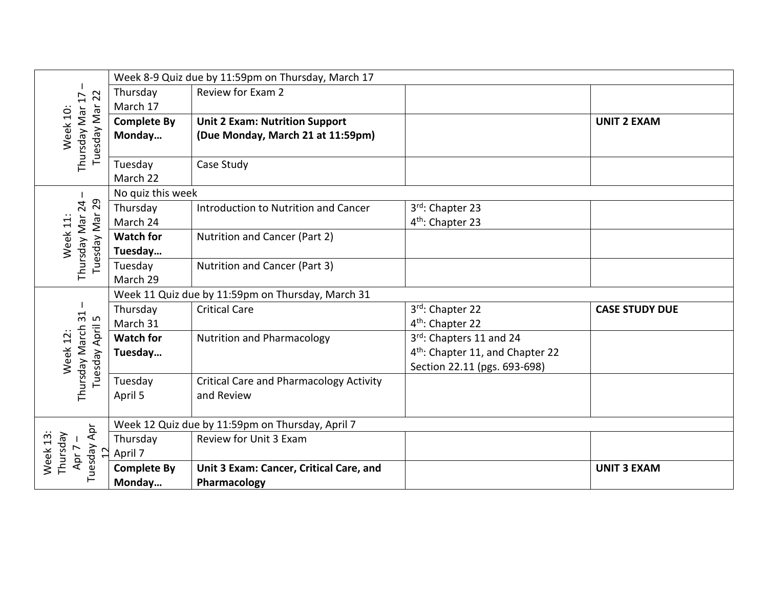|                                                                           |                                                   | Week 8-9 Quiz due by 11:59pm on Thursday, March 17 |                                              |                       |  |
|---------------------------------------------------------------------------|---------------------------------------------------|----------------------------------------------------|----------------------------------------------|-----------------------|--|
|                                                                           | Thursday                                          | Review for Exam 2                                  |                                              |                       |  |
|                                                                           | March 17                                          |                                                    |                                              |                       |  |
|                                                                           | <b>Complete By</b>                                | <b>Unit 2 Exam: Nutrition Support</b>              |                                              | <b>UNIT 2 EXAM</b>    |  |
| Tuesday Mar 22<br>Thursday Mar 17<br>Week 10:                             | Monday                                            | (Due Monday, March 21 at 11:59pm)                  |                                              |                       |  |
|                                                                           | Tuesday<br>March 22                               | Case Study                                         |                                              |                       |  |
|                                                                           | No quiz this week                                 |                                                    |                                              |                       |  |
|                                                                           | Thursday                                          | Introduction to Nutrition and Cancer               | 3rd: Chapter 23                              |                       |  |
|                                                                           | March 24                                          |                                                    | 4 <sup>th</sup> : Chapter 23                 |                       |  |
| Week 11:                                                                  | <b>Watch for</b>                                  | Nutrition and Cancer (Part 2)                      |                                              |                       |  |
| Tuesday Mar 29<br>Thursday Mar 24                                         | Tuesday                                           |                                                    |                                              |                       |  |
|                                                                           | Tuesday                                           | Nutrition and Cancer (Part 3)                      |                                              |                       |  |
|                                                                           | March 29                                          |                                                    |                                              |                       |  |
|                                                                           | Week 11 Quiz due by 11:59pm on Thursday, March 31 |                                                    |                                              |                       |  |
| 31<br>LO                                                                  | Thursday                                          | <b>Critical Care</b>                               | 3rd: Chapter 22                              | <b>CASE STUDY DUE</b> |  |
|                                                                           | March 31                                          |                                                    | 4 <sup>th</sup> : Chapter 22                 |                       |  |
|                                                                           | <b>Watch for</b>                                  | <b>Nutrition and Pharmacology</b>                  | 3rd: Chapters 11 and 24                      |                       |  |
| Week 12                                                                   | Tuesday                                           |                                                    | 4 <sup>th</sup> : Chapter 11, and Chapter 22 |                       |  |
| Tuesday April<br>Thursday March                                           |                                                   |                                                    | Section 22.11 (pgs. 693-698)                 |                       |  |
|                                                                           | Tuesday                                           | <b>Critical Care and Pharmacology Activity</b>     |                                              |                       |  |
|                                                                           | April 5                                           | and Review                                         |                                              |                       |  |
|                                                                           |                                                   | Week 12 Quiz due by 11:59pm on Thursday, April 7   |                                              |                       |  |
| Tuesday Apr<br>Thursday<br>Week <sub>13</sub><br>Apr 7-<br>$\overline{1}$ | Thursday                                          | Review for Unit 3 Exam                             |                                              |                       |  |
|                                                                           | April 7                                           |                                                    |                                              |                       |  |
|                                                                           | <b>Complete By</b>                                | Unit 3 Exam: Cancer, Critical Care, and            |                                              | <b>UNIT 3 EXAM</b>    |  |
|                                                                           | Monday                                            | Pharmacology                                       |                                              |                       |  |